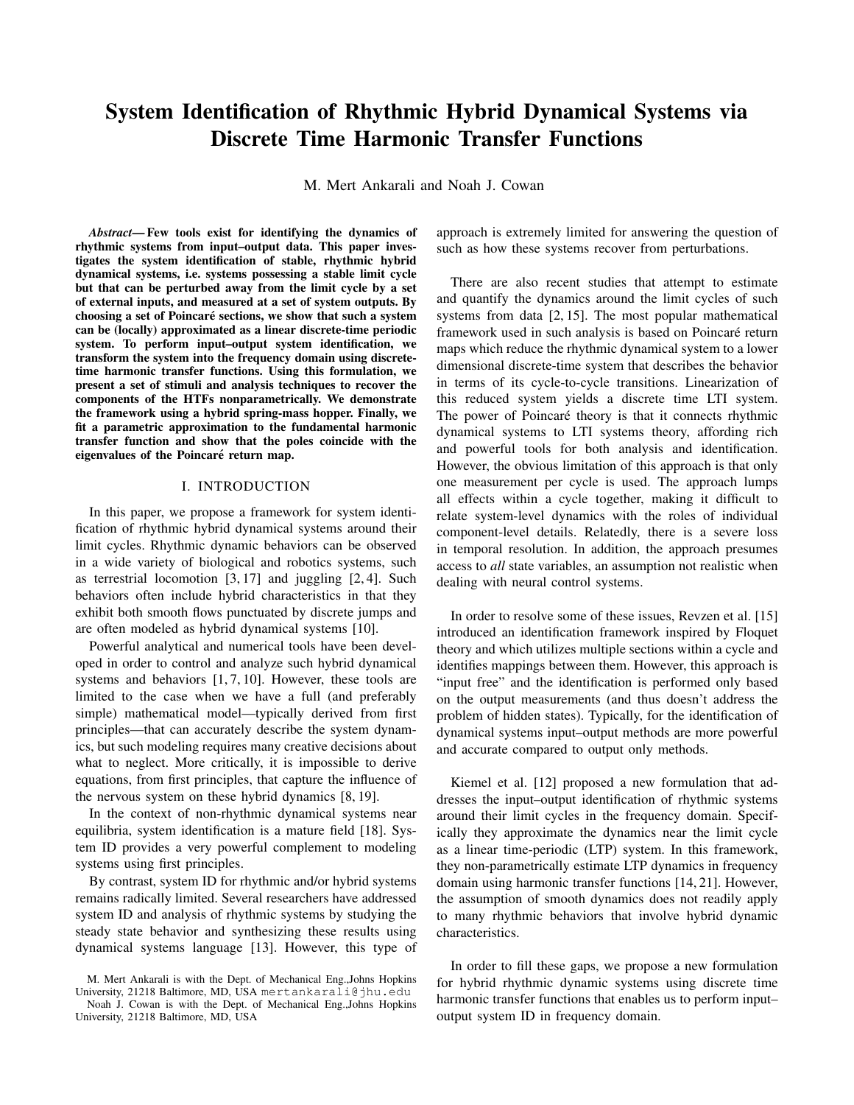# System Identification of Rhythmic Hybrid Dynamical Systems via Discrete Time Harmonic Transfer Functions

M. Mert Ankarali and Noah J. Cowan

*Abstract*— Few tools exist for identifying the dynamics of rhythmic systems from input–output data. This paper investigates the system identification of stable, rhythmic hybrid dynamical systems, i.e. systems possessing a stable limit cycle but that can be perturbed away from the limit cycle by a set of external inputs, and measured at a set of system outputs. By choosing a set of Poincaré sections, we show that such a system can be (locally) approximated as a linear discrete-time periodic system. To perform input–output system identification, we transform the system into the frequency domain using discretetime harmonic transfer functions. Using this formulation, we present a set of stimuli and analysis techniques to recover the components of the HTFs nonparametrically. We demonstrate the framework using a hybrid spring-mass hopper. Finally, we fit a parametric approximation to the fundamental harmonic transfer function and show that the poles coincide with the eigenvalues of the Poincaré return map.

### I. INTRODUCTION

In this paper, we propose a framework for system identification of rhythmic hybrid dynamical systems around their limit cycles. Rhythmic dynamic behaviors can be observed in a wide variety of biological and robotics systems, such as terrestrial locomotion [3, 17] and juggling [2, 4]. Such behaviors often include hybrid characteristics in that they exhibit both smooth flows punctuated by discrete jumps and are often modeled as hybrid dynamical systems [10].

Powerful analytical and numerical tools have been developed in order to control and analyze such hybrid dynamical systems and behaviors [1, 7, 10]. However, these tools are limited to the case when we have a full (and preferably simple) mathematical model—typically derived from first principles—that can accurately describe the system dynamics, but such modeling requires many creative decisions about what to neglect. More critically, it is impossible to derive equations, from first principles, that capture the influence of the nervous system on these hybrid dynamics [8, 19].

In the context of non-rhythmic dynamical systems near equilibria, system identification is a mature field [18]. System ID provides a very powerful complement to modeling systems using first principles.

By contrast, system ID for rhythmic and/or hybrid systems remains radically limited. Several researchers have addressed system ID and analysis of rhythmic systems by studying the steady state behavior and synthesizing these results using dynamical systems language [13]. However, this type of approach is extremely limited for answering the question of such as how these systems recover from perturbations.

There are also recent studies that attempt to estimate and quantify the dynamics around the limit cycles of such systems from data [2, 15]. The most popular mathematical framework used in such analysis is based on Poincaré return maps which reduce the rhythmic dynamical system to a lower dimensional discrete-time system that describes the behavior in terms of its cycle-to-cycle transitions. Linearization of this reduced system yields a discrete time LTI system. The power of Poincaré theory is that it connects rhythmic dynamical systems to LTI systems theory, affording rich and powerful tools for both analysis and identification. However, the obvious limitation of this approach is that only one measurement per cycle is used. The approach lumps all effects within a cycle together, making it difficult to relate system-level dynamics with the roles of individual component-level details. Relatedly, there is a severe loss in temporal resolution. In addition, the approach presumes access to *all* state variables, an assumption not realistic when dealing with neural control systems.

In order to resolve some of these issues, Revzen et al. [15] introduced an identification framework inspired by Floquet theory and which utilizes multiple sections within a cycle and identifies mappings between them. However, this approach is "input free" and the identification is performed only based on the output measurements (and thus doesn't address the problem of hidden states). Typically, for the identification of dynamical systems input–output methods are more powerful and accurate compared to output only methods.

Kiemel et al. [12] proposed a new formulation that addresses the input–output identification of rhythmic systems around their limit cycles in the frequency domain. Specifically they approximate the dynamics near the limit cycle as a linear time-periodic (LTP) system. In this framework, they non-parametrically estimate LTP dynamics in frequency domain using harmonic transfer functions [14, 21]. However, the assumption of smooth dynamics does not readily apply to many rhythmic behaviors that involve hybrid dynamic characteristics.

In order to fill these gaps, we propose a new formulation for hybrid rhythmic dynamic systems using discrete time harmonic transfer functions that enables us to perform input– output system ID in frequency domain.

M. Mert Ankarali is with the Dept. of Mechanical Eng.,Johns Hopkins University, 21218 Baltimore, MD, USA mertankarali@jhu.edu

Noah J. Cowan is with the Dept. of Mechanical Eng.,Johns Hopkins University, 21218 Baltimore, MD, USA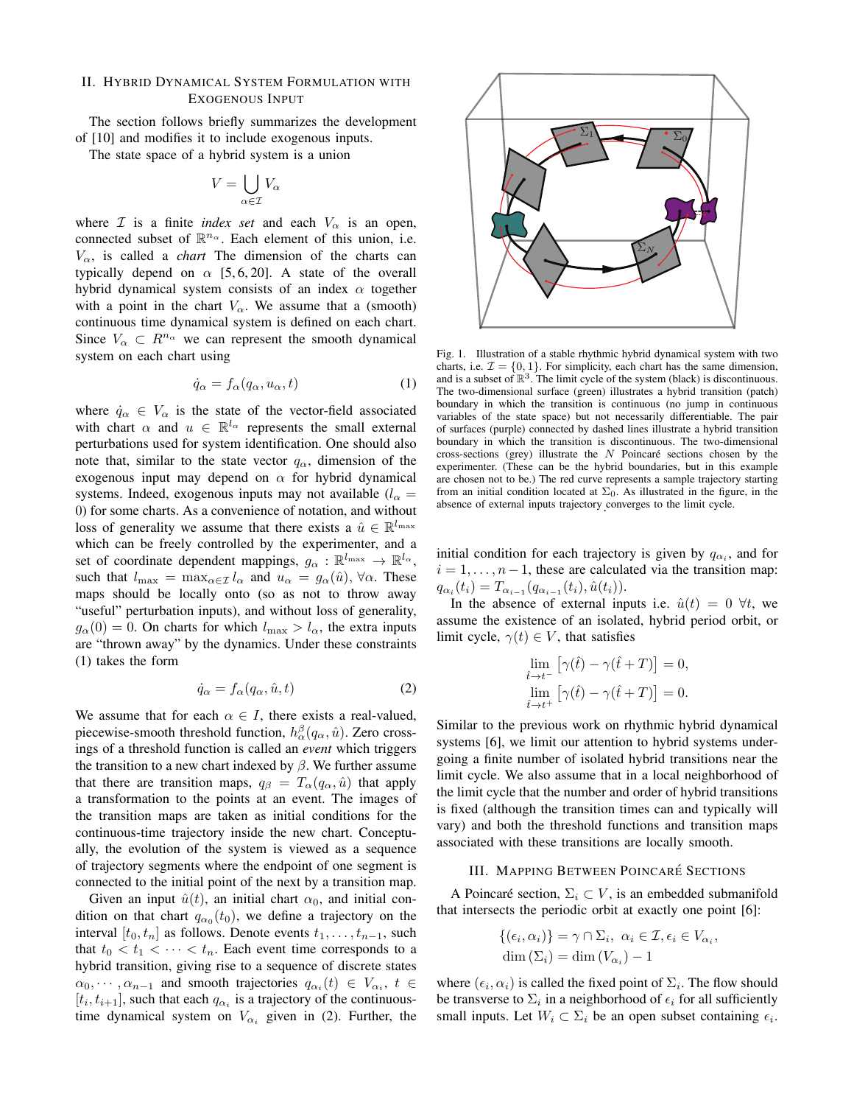## II. HYBRID DYNAMICAL SYSTEM FORMULATION WITH EXOGENOUS INPUT

The section follows briefly summarizes the development of [10] and modifies it to include exogenous inputs.

The state space of a hybrid system is a union

$$
V = \bigcup_{\alpha \in \mathcal{I}} V_{\alpha}
$$

where  $\mathcal I$  is a finite *index set* and each  $V_\alpha$  is an open, connected subset of  $\mathbb{R}^{n_{\alpha}}$ . Each element of this union, i.e.  $V_{\alpha}$ , is called a *chart* The dimension of the charts can typically depend on  $\alpha$  [5, 6, 20]. A state of the overall hybrid dynamical system consists of an index  $\alpha$  together with a point in the chart  $V_\alpha$ . We assume that a (smooth) continuous time dynamical system is defined on each chart. Since  $V_{\alpha} \subset R^{n_{\alpha}}$  we can represent the smooth dynamical system on each chart using

$$
\dot{q}_{\alpha} = f_{\alpha}(q_{\alpha}, u_{\alpha}, t) \tag{1}
$$

where  $\dot{q}_{\alpha} \in V_{\alpha}$  is the state of the vector-field associated with chart  $\alpha$  and  $u \in \mathbb{R}^{l_{\alpha}}$  represents the small external perturbations used for system identification. One should also note that, similar to the state vector  $q_{\alpha}$ , dimension of the exogenous input may depend on  $\alpha$  for hybrid dynamical systems. Indeed, exogenous inputs may not available ( $l_{\alpha}$  = 0) for some charts. As a convenience of notation, and without loss of generality we assume that there exists a  $\hat{u} \in \mathbb{R}^{l_{\text{max}}}$ which can be freely controlled by the experimenter, and a set of coordinate dependent mappings,  $g_{\alpha}$  :  $\mathbb{R}^{l_{\max}} \to \mathbb{R}^{l_{\alpha}}$ , such that  $l_{\max} = \max_{\alpha \in \mathcal{I}} l_{\alpha}$  and  $u_{\alpha} = g_{\alpha}(\hat{u}), \forall \alpha$ . These maps should be locally onto (so as not to throw away "useful" perturbation inputs), and without loss of generality,  $g_{\alpha}(0) = 0$ . On charts for which  $l_{\max} > l_{\alpha}$ , the extra inputs are "thrown away" by the dynamics. Under these constraints (1) takes the form

$$
\dot{q}_{\alpha} = f_{\alpha}(q_{\alpha}, \hat{u}, t) \tag{2}
$$

We assume that for each  $\alpha \in I$ , there exists a real-valued, piecewise-smooth threshold function,  $h_{\alpha}^{\beta}(q_{\alpha}, \hat{u})$ . Zero crossings of a threshold function is called an *event* which triggers the transition to a new chart indexed by  $\beta$ . We further assume that there are transition maps,  $q_\beta = T_\alpha(q_\alpha, \hat{u})$  that apply a transformation to the points at an event. The images of the transition maps are taken as initial conditions for the continuous-time trajectory inside the new chart. Conceptually, the evolution of the system is viewed as a sequence of trajectory segments where the endpoint of one segment is connected to the initial point of the next by a transition map.

Given an input  $\hat{u}(t)$ , an initial chart  $\alpha_0$ , and initial condition on that chart  $q_{\alpha_0}(t_0)$ , we define a trajectory on the interval  $[t_0, t_n]$  as follows. Denote events  $t_1, \ldots, t_{n-1}$ , such that  $t_0 < t_1 < \cdots < t_n$ . Each event time corresponds to a hybrid transition, giving rise to a sequence of discrete states  $\alpha_0, \dots, \alpha_{n-1}$  and smooth trajectories  $q_{\alpha_i}(t) \in V_{\alpha_i}, t \in$  $[t_i, t_{i+1}]$ , such that each  $q_{\alpha_i}$  is a trajectory of the continuoustime dynamical system on  $V_{\alpha_i}$  given in (2). Further, the



Fig. 1. Illustration of a stable rhythmic hybrid dynamical system with two charts, i.e.  $\mathcal{I} = \{0, 1\}$ . For simplicity, each chart has the same dimension, and is a subset of  $\mathbb{R}^3$ . The limit cycle of the system (black) is discontinuous. The two-dimensional surface (green) illustrates a hybrid transition (patch) boundary in which the transition is continuous (no jump in continuous variables of the state space) but not necessarily differentiable. The pair of surfaces (purple) connected by dashed lines illustrate a hybrid transition boundary in which the transition is discontinuous. The two-dimensional cross-sections (grey) illustrate the  $N$  Poincaré sections chosen by the experimenter. (These can be the hybrid boundaries, but in this example are chosen not to be.) The red curve represents a sample trajectory starting from an initial condition located at  $\Sigma_0$ . As illustrated in the figure, in the absence of external inputs trajectory converges to the limit cycle. .

initial condition for each trajectory is given by  $q_{\alpha_i}$ , and for  $i = 1, \ldots, n - 1$ , these are calculated via the transition map:  $q_{\alpha_i}(t_i) = T_{\alpha_{i-1}}(q_{\alpha_{i-1}}(t_i), \hat{u}(t_i)).$ 

In the absence of external inputs i.e.  $\hat{u}(t) = 0 \ \forall t$ , we assume the existence of an isolated, hybrid period orbit, or limit cycle,  $\gamma(t) \in V$ , that satisfies

$$
\lim_{\hat{t}\to t^{-}}\left[\gamma(\hat{t})-\gamma(\hat{t}+T)\right]=0,
$$
  

$$
\lim_{\hat{t}\to t^{+}}\left[\gamma(\hat{t})-\gamma(\hat{t}+T)\right]=0.
$$

Similar to the previous work on rhythmic hybrid dynamical systems [6], we limit our attention to hybrid systems undergoing a finite number of isolated hybrid transitions near the limit cycle. We also assume that in a local neighborhood of the limit cycle that the number and order of hybrid transitions is fixed (although the transition times can and typically will vary) and both the threshold functions and transition maps associated with these transitions are locally smooth.

#### III. MAPPING BETWEEN POINCARE´ SECTIONS

A Poincaré section,  $\Sigma_i \subset V$ , is an embedded submanifold that intersects the periodic orbit at exactly one point [6]:

$$
\begin{aligned} \{(\epsilon_i, \alpha_i)\} &= \gamma \cap \Sigma_i, \ \alpha_i \in \mathcal{I}, \epsilon_i \in V_{\alpha_i}, \\ \dim \left(\Sigma_i\right) &= \dim \left(V_{\alpha_i}\right) - 1 \end{aligned}
$$

where  $(\epsilon_i, \alpha_i)$  is called the fixed point of  $\Sigma_i$ . The flow should be transverse to  $\Sigma_i$  in a neighborhood of  $\epsilon_i$  for all sufficiently small inputs. Let  $W_i \subset \Sigma_i$  be an open subset containing  $\epsilon_i$ .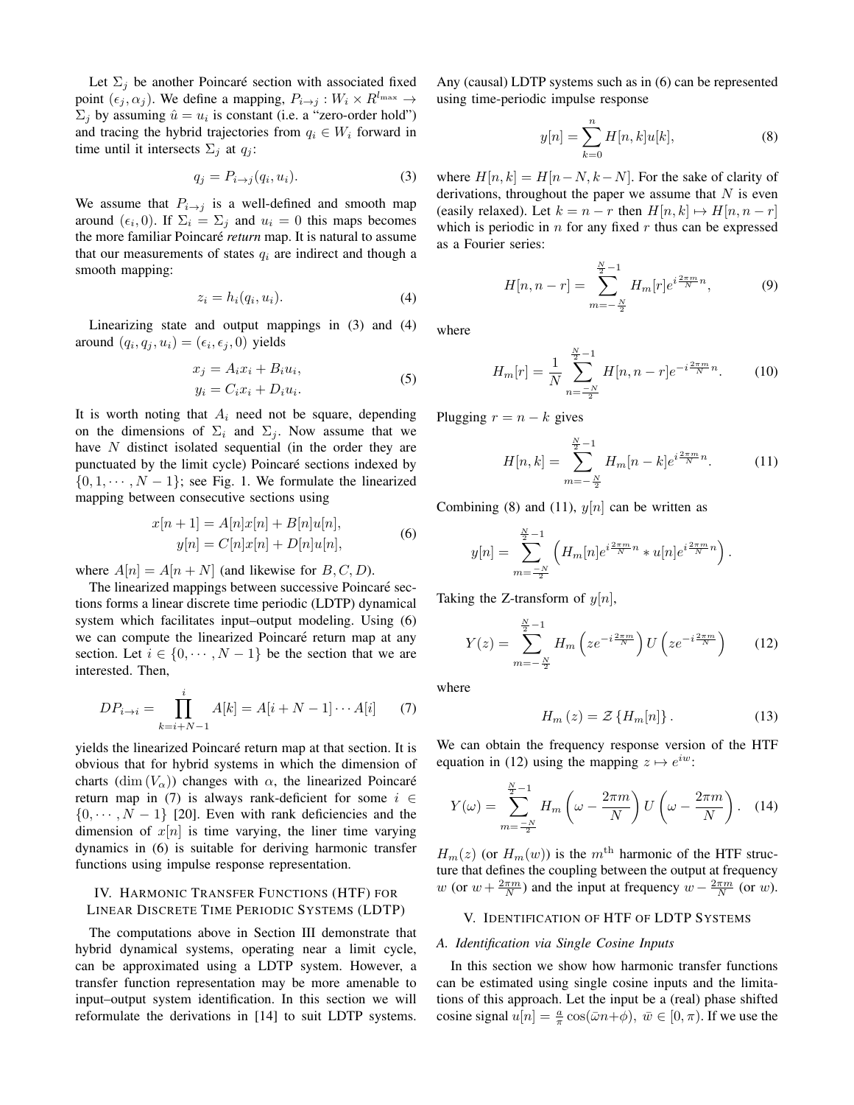Let  $\Sigma_j$  be another Poincaré section with associated fixed point  $(\epsilon_j, \alpha_j)$ . We define a mapping,  $P_{i \to j} : W_i \times R^{l_{\max}} \to$  $\Sigma_j$  by assuming  $\hat{u} = u_i$  is constant (i.e. a "zero-order hold") and tracing the hybrid trajectories from  $q_i \in W_i$  forward in time until it intersects  $\Sigma_i$  at  $q_i$ :

$$
q_j = P_{i \to j}(q_i, u_i). \tag{3}
$$

We assume that  $P_{i\rightarrow j}$  is a well-defined and smooth map around  $(\epsilon_i, 0)$ . If  $\Sigma_i = \Sigma_j$  and  $u_i = 0$  this maps becomes the more familiar Poincaré *return* map. It is natural to assume that our measurements of states  $q_i$  are indirect and though a smooth mapping:

$$
z_i = h_i(q_i, u_i). \tag{4}
$$

Linearizing state and output mappings in (3) and (4) around  $(q_i, q_j, u_i) = (\epsilon_i, \epsilon_j, 0)$  yields

$$
x_j = A_i x_i + B_i u_i,
$$
  
\n
$$
y_i = C_i x_i + D_i u_i.
$$
\n(5)

It is worth noting that  $A_i$  need not be square, depending on the dimensions of  $\Sigma_i$  and  $\Sigma_j$ . Now assume that we have  $N$  distinct isolated sequential (in the order they are punctuated by the limit cycle) Poincaré sections indexed by  $\{0, 1, \dots, N-1\}$ ; see Fig. 1. We formulate the linearized mapping between consecutive sections using

$$
x[n+1] = A[n]x[n] + B[n]u[n],
$$
  
\n
$$
y[n] = C[n]x[n] + D[n]u[n],
$$
\n(6)

where  $A[n] = A[n + N]$  (and likewise for B, C, D).

The linearized mappings between successive Poincaré sections forms a linear discrete time periodic (LDTP) dynamical system which facilitates input–output modeling. Using (6) we can compute the linearized Poincaré return map at any section. Let  $i \in \{0, \dots, N-1\}$  be the section that we are interested. Then,

$$
DP_{i \to i} = \prod_{k=i+N-1}^{i} A[k] = A[i+N-1] \cdots A[i] \tag{7}
$$

yields the linearized Poincaré return map at that section. It is obvious that for hybrid systems in which the dimension of charts  $(\dim (V_\alpha))$  changes with  $\alpha$ , the linearized Poincaré return map in (7) is always rank-deficient for some  $i \in$  $\{0, \dots, N-1\}$  [20]. Even with rank deficiencies and the dimension of  $x[n]$  is time varying, the liner time varying dynamics in (6) is suitable for deriving harmonic transfer functions using impulse response representation.

## IV. HARMONIC TRANSFER FUNCTIONS (HTF) FOR LINEAR DISCRETE TIME PERIODIC SYSTEMS (LDTP)

The computations above in Section III demonstrate that hybrid dynamical systems, operating near a limit cycle, can be approximated using a LDTP system. However, a transfer function representation may be more amenable to input–output system identification. In this section we will reformulate the derivations in [14] to suit LDTP systems.

Any (causal) LDTP systems such as in (6) can be represented using time-periodic impulse response

$$
y[n] = \sum_{k=0}^{n} H[n, k]u[k],
$$
 (8)

where  $H[n, k] = H[n-N, k-N]$ . For the sake of clarity of derivations, throughout the paper we assume that  $N$  is even (easily relaxed). Let  $k = n - r$  then  $H[n, k] \mapsto H[n, n - r]$ which is periodic in  $n$  for any fixed  $r$  thus can be expressed as a Fourier series:

$$
H[n, n-r] = \sum_{m=-\frac{N}{2}}^{\frac{N}{2}-1} H_m[r] e^{i\frac{2\pi m}{N}n},
$$
 (9)

where

$$
H_m[r] = \frac{1}{N} \sum_{n = -\frac{N}{2}}^{\frac{N}{2} - 1} H[n, n - r] e^{-i\frac{2\pi m}{N}n}.
$$
 (10)

Plugging  $r = n - k$  gives

$$
H[n,k] = \sum_{m=-\frac{N}{2}}^{\frac{N}{2}-1} H_m[n-k] e^{i\frac{2\pi m}{N}n}.
$$
 (11)

Combining (8) and (11),  $y[n]$  can be written as

$$
y[n] = \sum_{m=-\frac{N}{2}}^{\frac{N}{2}-1} \left( H_m[n] e^{i\frac{2\pi m}{N}n} * u[n] e^{i\frac{2\pi m}{N}n} \right).
$$

Taking the Z-transform of  $y[n]$ ,

$$
Y(z) = \sum_{m=-\frac{N}{2}}^{\frac{N}{2}-1} H_m\left(ze^{-i\frac{2\pi m}{N}}\right)U\left(ze^{-i\frac{2\pi m}{N}}\right)
$$
 (12)

where

$$
H_m(z) = \mathcal{Z}\left\{H_m[n]\right\}.
$$
 (13)

We can obtain the frequency response version of the HTF equation in (12) using the mapping  $z \mapsto e^{iw}$ :

$$
Y(\omega) = \sum_{m=-N}^{\frac{N}{2}-1} H_m\left(\omega - \frac{2\pi m}{N}\right) U\left(\omega - \frac{2\pi m}{N}\right). \quad (14)
$$

 $H_m(z)$  (or  $H_m(w)$ ) is the m<sup>th</sup> harmonic of the HTF structure that defines the coupling between the output at frequency w (or  $w + \frac{2\pi m}{N}$ ) and the input at frequency  $w - \frac{2\pi m}{N}$  (or w).

#### V. IDENTIFICATION OF HTF OF LDTP SYSTEMS

#### *A. Identification via Single Cosine Inputs*

In this section we show how harmonic transfer functions can be estimated using single cosine inputs and the limitations of this approach. Let the input be a (real) phase shifted cosine signal  $u[n] = \frac{a}{\pi} \cos(\bar{\omega}n + \phi)$ ,  $\bar{w} \in [0, \pi)$ . If we use the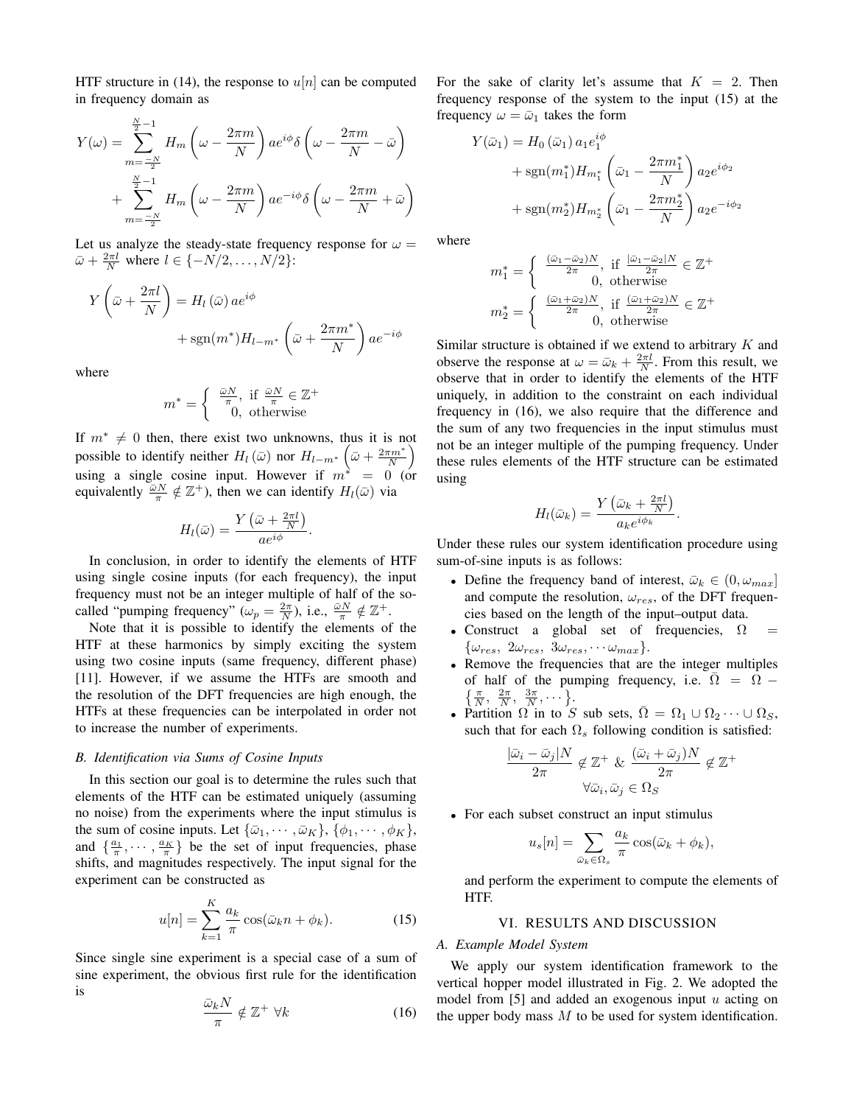HTF structure in (14), the response to  $u[n]$  can be computed in frequency domain as

$$
Y(\omega) = \sum_{m=-\frac{N}{2}}^{\frac{N}{2}-1} H_m \left( \omega - \frac{2\pi m}{N} \right) a e^{i\phi} \delta \left( \omega - \frac{2\pi m}{N} - \bar{\omega} \right)
$$

$$
+ \sum_{m=-\frac{N}{2}}^{\frac{N}{2}-1} H_m \left( \omega - \frac{2\pi m}{N} \right) a e^{-i\phi} \delta \left( \omega - \frac{2\pi m}{N} + \bar{\omega} \right)
$$

Let us analyze the steady-state frequency response for  $\omega =$  $\bar{\omega} + \frac{2\pi l}{N}$  where  $l \in \{-N/2, \ldots, N/2\}$ :

$$
Y\left(\bar{\omega} + \frac{2\pi l}{N}\right) = H_l\left(\bar{\omega}\right) a e^{i\phi} + \text{sgn}(m^*) H_{l-m^*}\left(\bar{\omega} + \frac{2\pi m^*}{N}\right) a e^{-i\phi}
$$

where

$$
m^* = \begin{cases} \frac{\bar{\omega}N}{\pi}, & \text{if } \frac{\bar{\omega}N}{\pi} \in \mathbb{Z}^+ \\ 0, & \text{otherwise} \end{cases}
$$

If  $m^* \neq 0$  then, there exist two unknowns, thus it is not possible to identify neither  $H_l(\bar{\omega})$  nor  $H_{l-m^*}\left(\bar{\omega}+\frac{2\pi m^*}{N}\right)$ using a single cosine input. However if  $m^* = 0$  (or equivalently  $\overline{\omega}^N \notin \mathbb{Z}^+$ , then we can identify  $H_l(\overline{\omega})$  via

$$
H_l(\bar{\omega}) = \frac{Y\left(\bar{\omega} + \frac{2\pi l}{N}\right)}{ae^{i\phi}}.
$$

In conclusion, in order to identify the elements of HTF using single cosine inputs (for each frequency), the input frequency must not be an integer multiple of half of the socalled "pumping frequency"  $(\omega_p = \frac{2\pi}{N})$ , i.e.,  $\frac{\omega N}{\pi} \notin \mathbb{Z}^+$ .

Note that it is possible to identify the elements of the HTF at these harmonics by simply exciting the system using two cosine inputs (same frequency, different phase) [11]. However, if we assume the HTFs are smooth and the resolution of the DFT frequencies are high enough, the HTFs at these frequencies can be interpolated in order not to increase the number of experiments.

#### *B. Identification via Sums of Cosine Inputs*

In this section our goal is to determine the rules such that elements of the HTF can be estimated uniquely (assuming no noise) from the experiments where the input stimulus is the sum of cosine inputs. Let  $\{\bar{\omega}_1, \cdots, \bar{\omega}_K\}$ ,  $\{\phi_1, \cdots, \phi_K\}$ , and  $\{\frac{a_1}{\pi}, \cdots, \frac{a_K}{\pi}\}$  be the set of input frequencies, phase shifts, and magnitudes respectively. The input signal for the experiment can be constructed as

$$
u[n] = \sum_{k=1}^{K} \frac{a_k}{\pi} \cos(\bar{\omega}_k n + \phi_k).
$$
 (15)

Since single sine experiment is a special case of a sum of sine experiment, the obvious first rule for the identification is

$$
\frac{\bar{\omega}_k N}{\pi} \notin \mathbb{Z}^+ \,\,\forall k \tag{16}
$$

For the sake of clarity let's assume that  $K = 2$ . Then frequency response of the system to the input (15) at the frequency  $\omega = \bar{\omega}_1$  takes the form

$$
Y(\bar{\omega}_1) = H_0(\bar{\omega}_1) a_1 e_1^{i\phi} + \text{sgn}(m_1^*) H_{m_1^*} \left(\bar{\omega}_1 - \frac{2\pi m_1^*}{N}\right) a_2 e^{i\phi_2} + \text{sgn}(m_2^*) H_{m_2^*} \left(\bar{\omega}_1 - \frac{2\pi m_2^*}{N}\right) a_2 e^{-i\phi_2}
$$

where

$$
m_1^* = \begin{cases} \frac{(\bar{\omega}_1 - \bar{\omega}_2)N}{2\pi}, & \text{if } \frac{|\bar{\omega}_1 - \bar{\omega}_2|N}{2\pi} \in \mathbb{Z}^+ \\ 0, & \text{otherwise} \end{cases}
$$

$$
m_2^* = \begin{cases} \frac{(\bar{\omega}_1 + \bar{\omega}_2)N}{2\pi}, & \text{if } \frac{(\bar{\omega}_1 + \bar{\omega}_2)N}{2\pi} \in \mathbb{Z}^+ \\ 0, & \text{otherwise} \end{cases}
$$

Similar structure is obtained if we extend to arbitrary  $K$  and observe the response at  $\omega = \bar{\omega}_k + \frac{2\pi l}{N}$ . From this result, we observe that in order to identify the elements of the HTF uniquely, in addition to the constraint on each individual frequency in (16), we also require that the difference and the sum of any two frequencies in the input stimulus must not be an integer multiple of the pumping frequency. Under these rules elements of the HTF structure can be estimated using

$$
H_l(\bar{\omega}_k) = \frac{Y\left(\bar{\omega}_k + \frac{2\pi l}{N}\right)}{a_k e^{i\phi_k}}.
$$

Under these rules our system identification procedure using sum-of-sine inputs is as follows:

- Define the frequency band of interest,  $\bar{\omega}_k \in (0, \omega_{max}]$ and compute the resolution,  $\omega_{res}$ , of the DFT frequencies based on the length of the input–output data.
- Construct a global set of frequencies,  $\Omega$  $\{\omega_{res}, \ 2\omega_{res}, \ 3\omega_{res}, \cdots \omega_{max}\}.$
- Remove the frequencies that are the integer multiples of half of the pumping frequency, i.e.  $\Omega = \Omega \left\{\frac{\pi}{N}, \frac{2\pi}{N}, \frac{3\pi}{N}, \cdots\right\}.$
- Partition  $\Omega$  in to S sub sets,  $\overline{\Omega} = \Omega_1 \cup \Omega_2 \cdots \cup \Omega_S$ , such that for each  $\Omega_s$  following condition is satisfied:

$$
\frac{|\bar{\omega}_i - \bar{\omega}_j|N}{2\pi} \notin \mathbb{Z}^+ \& \frac{(\bar{\omega}_i + \bar{\omega}_j)N}{2\pi} \notin \mathbb{Z}^+
$$

$$
\forall \bar{\omega}_i, \bar{\omega}_j \in \Omega_S
$$

• For each subset construct an input stimulus

$$
u_s[n] = \sum_{\bar{\omega}_k \in \Omega_s} \frac{a_k}{\pi} \cos(\bar{\omega}_k + \phi_k),
$$

and perform the experiment to compute the elements of HTF.

#### VI. RESULTS AND DISCUSSION

## *A. Example Model System*

We apply our system identification framework to the vertical hopper model illustrated in Fig. 2. We adopted the model from  $[5]$  and added an exogenous input u acting on the upper body mass  $M$  to be used for system identification.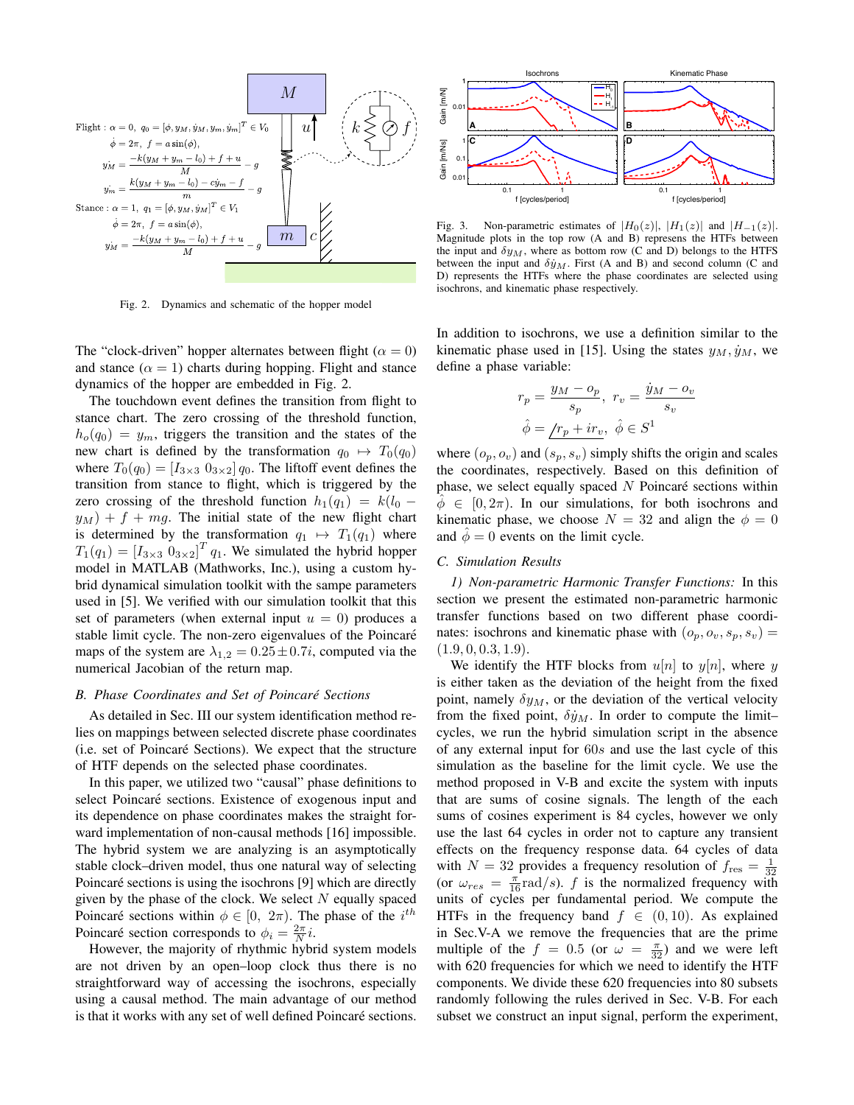

Fig. 2. Dynamics and schematic of the hopper model

The "clock-driven" hopper alternates between flight ( $\alpha = 0$ ) and stance  $(\alpha = 1)$  charts during hopping. Flight and stance dynamics of the hopper are embedded in Fig. 2.

The touchdown event defines the transition from flight to stance chart. The zero crossing of the threshold function,  $h_o(q_0) = y_m$ , triggers the transition and the states of the new chart is defined by the transformation  $q_0 \mapsto T_0(q_0)$ where  $T_0(q_0) = [I_{3\times 3} \ 0_{3\times 2}] q_0$ . The liftoff event defines the transition from stance to flight, which is triggered by the zero crossing of the threshold function  $h_1(q_1) = k(l_0$  $y_M$ ) + f + mg. The initial state of the new flight chart is determined by the transformation  $q_1 \mapsto T_1(q_1)$  where  $T_1(q_1) = [I_{3\times 3} 0_{3\times 2}]^T q_1$ . We simulated the hybrid hopper model in MATLAB (Mathworks, Inc.), using a custom hybrid dynamical simulation toolkit with the sampe parameters used in [5]. We verified with our simulation toolkit that this set of parameters (when external input  $u = 0$ ) produces a stable limit cycle. The non-zero eigenvalues of the Poincaré maps of the system are  $\lambda_{1,2} = 0.25 \pm 0.7i$ , computed via the numerical Jacobian of the return map.

#### *B. Phase Coordinates and Set of Poincare Sections ´*

As detailed in Sec. III our system identification method relies on mappings between selected discrete phase coordinates (i.e. set of Poincaré Sections). We expect that the structure of HTF depends on the selected phase coordinates.

In this paper, we utilized two "causal" phase definitions to select Poincaré sections. Existence of exogenous input and its dependence on phase coordinates makes the straight forward implementation of non-causal methods [16] impossible. The hybrid system we are analyzing is an asymptotically stable clock–driven model, thus one natural way of selecting Poincaré sections is using the isochrons [9] which are directly given by the phase of the clock. We select  $N$  equally spaced Poincaré sections within  $\phi \in [0, 2\pi)$ . The phase of the  $i^{th}$ Poincaré section corresponds to  $\phi_i = \frac{2\pi}{N}i$ .

However, the majority of rhythmic hybrid system models are not driven by an open–loop clock thus there is no straightforward way of accessing the isochrons, especially using a causal method. The main advantage of our method is that it works with any set of well defined Poincaré sections.



Fig. 3. Non-parametric estimates of  $|H_0(z)|$ ,  $|H_1(z)|$  and  $|H_{-1}(z)|$ . Magnitude plots in the top row (A and B) represens the HTFs between the input and  $\delta y_M$ , where as bottom row (C and D) belongs to the HTFS between the input and  $\delta \dot{y}_M$ . First (A and B) and second column (C and D) represents the HTFs where the phase coordinates are selected using isochrons, and kinematic phase respectively.

In addition to isochrons, we use a definition similar to the kinematic phase used in [15]. Using the states  $y_M$ ,  $\dot{y}_M$ , we define a phase variable:

$$
r_p = \frac{y_M - o_p}{s_p}, \ r_v = \frac{\dot{y}_M - o_v}{s_v}
$$

$$
\hat{\phi} = \underline{r_p + ir_v}, \ \hat{\phi} \in S^1
$$

where  $(o_p, o_v)$  and  $(s_p, s_v)$  simply shifts the origin and scales the coordinates, respectively. Based on this definition of phase, we select equally spaced  $N$  Poincaré sections within  $\phi \in [0, 2\pi)$ . In our simulations, for both isochrons and kinematic phase, we choose  $N = 32$  and align the  $\phi = 0$ and  $\ddot{\phi} = 0$  events on the limit cycle.

#### *C. Simulation Results*

*1) Non-parametric Harmonic Transfer Functions:* In this section we present the estimated non-parametric harmonic transfer functions based on two different phase coordinates: isochrons and kinematic phase with  $(o_p, o_v, s_p, s_v)$  =  $(1.9, 0, 0.3, 1.9).$ 

We identify the HTF blocks from  $u[n]$  to  $y[n]$ , where y is either taken as the deviation of the height from the fixed point, namely  $\delta y_M$ , or the deviation of the vertical velocity from the fixed point,  $\delta \dot{y}_M$ . In order to compute the limitcycles, we run the hybrid simulation script in the absence of any external input for 60s and use the last cycle of this simulation as the baseline for the limit cycle. We use the method proposed in V-B and excite the system with inputs that are sums of cosine signals. The length of the each sums of cosines experiment is 84 cycles, however we only use the last 64 cycles in order not to capture any transient effects on the frequency response data. 64 cycles of data with  $N = 32$  provides a frequency resolution of  $f_{\text{res}} = \frac{1}{32}$ (or  $\omega_{res} = \frac{\pi}{16} \text{rad/s}$ ). f is the normalized frequency with units of cycles per fundamental period. We compute the HTFs in the frequency band  $f \in (0, 10)$ . As explained in Sec.V-A we remove the frequencies that are the prime multiple of the  $f = 0.5$  (or  $\omega = \frac{\pi}{32}$ ) and we were left with 620 frequencies for which we need to identify the HTF components. We divide these 620 frequencies into 80 subsets randomly following the rules derived in Sec. V-B. For each subset we construct an input signal, perform the experiment,